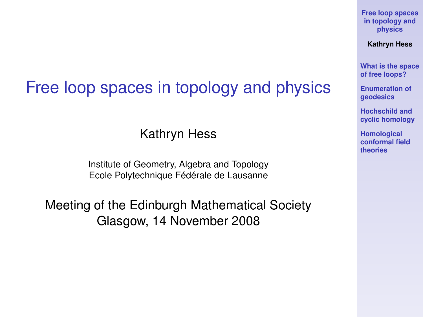#### Free loop spaces in topology and physics

Kathryn Hess

Institute of Geometry, Algebra and Topology Ecole Polytechnique Fédérale de Lausanne

<span id="page-0-0"></span>Meeting of the Edinburgh Mathematical Society Glasgow, 14 November 2008

**[Free loop spaces](#page-41-0) in topology and physics**

**Kathryn Hess**

**[What is the space](#page-3-0) of free loops?**

**[Enumeration of](#page-8-0) geodesics**

**Hochschild and [cyclic homology](#page-16-0)**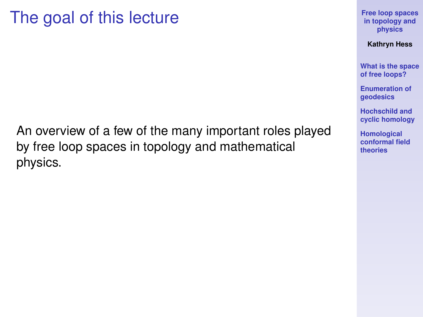#### The goal of this lecture

An overview of a few of the many important roles played by free loop spaces in topology and mathematical physics.

**[Free loop spaces](#page-0-0) in topology and physics**

**Kathryn Hess**

**[What is the space](#page-3-0) of free loops?**

**[Enumeration of](#page-8-0) geodesics**

**Hochschild and [cyclic homology](#page-16-0)**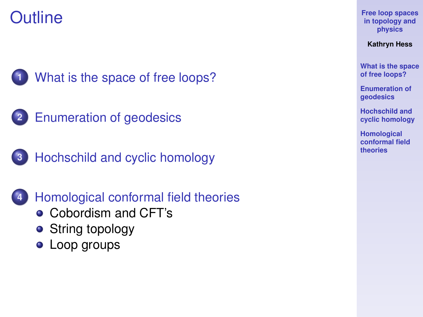### **Outline**



**1** [What is the space of free loops?](#page-3-0)



**3** [Hochschild and cyclic homology](#page-16-0)

**4** [Homological conformal field theories](#page-25-0)

- [Cobordism and CFT's](#page-25-0)
- **•** [String topology](#page-33-0)
- [Loop groups](#page-38-0)

**[Free loop spaces](#page-0-0) in topology and physics**

**Kathryn Hess**

**[What is the space](#page-3-0) of free loops?**

**[Enumeration of](#page-8-0) geodesics**

**Hochschild and [cyclic homology](#page-16-0)**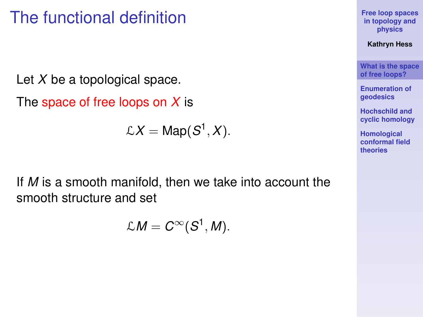#### The functional definition

Let *X* be a topological space.

The space of free loops on *X* is

$$
\mathcal{L}X = \mathsf{Map}(S^1, X).
$$

<span id="page-3-0"></span>If *M* is a smooth manifold, then we take into account the smooth structure and set

$$
\mathcal{L}M=C^{\infty}(S^1,M).
$$

**[Free loop spaces](#page-0-0) in topology and physics**

**Kathryn Hess**

**[What is the space](#page-3-0) of free loops?**

**[Enumeration of](#page-8-0) geodesics**

**Hochschild and [cyclic homology](#page-16-0)**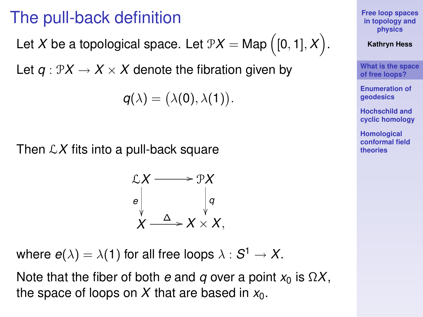#### The pull-back definition

Let  $X$  be a topological space. Let  $\mathbb{P} X = \mathsf{Map}\left([0,1],X\right)$ .

Let  $q: \mathcal{P}X \to X \times X$  denote the fibration given by

$$
q(\lambda) = (\lambda(0), \lambda(1))
$$

.

Then L*X* fits into a pull-back square

$$
\mathcal{L}X \longrightarrow \mathcal{P}X
$$
\n
$$
e \qquad \qquad q
$$
\n
$$
X \longrightarrow X \times X,
$$

where  $e(\lambda) = \lambda(1)$  for all free loops  $\lambda: \mathcal{S}^1 \rightarrow \mathcal{X}.$ 

Note that the fiber of both *e* and *q* over a point  $x_0$  is  $\Omega X$ , the space of loops on  $X$  that are based in  $x_0$ .

**[Free loop spaces](#page-0-0) in topology and physics**

**Kathryn Hess**

**[What is the space](#page-3-0) of free loops?**

**[Enumeration of](#page-8-0) geodesics**

**Hochschild and [cyclic homology](#page-16-0)**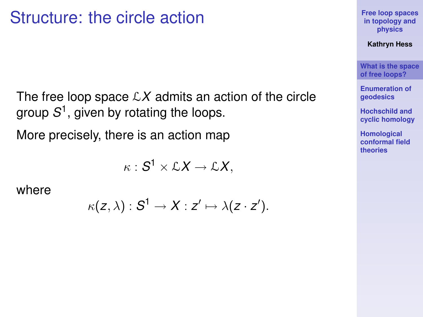#### Structure: the circle action

The free loop space  $\mathcal{L}X$  admits an action of the circle group *S* 1 , given by rotating the loops.

More precisely, there is an action map

$$
\kappa: \mathcal{S}^1 \times \mathcal{L}X \to \mathcal{L}X,
$$

where

$$
\kappa(z,\lambda):S^1\to X:z'\mapsto \lambda(z\cdot z').
$$

**[Free loop spaces](#page-0-0) in topology and physics**

**Kathryn Hess**

**[What is the space](#page-3-0) of free loops?**

**[Enumeration of](#page-8-0) geodesics**

**Hochschild and [cyclic homology](#page-16-0)**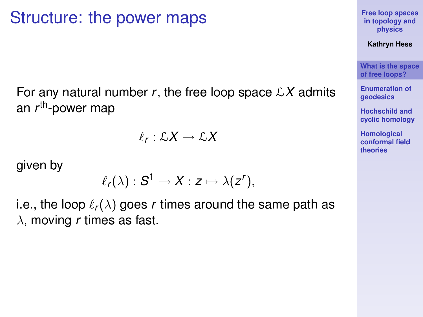#### Structure: the power maps

For any natural number  $r$ , the free loop space  $\mathcal{L}X$  admits an *r* th-power map

$$
\ell_r:\mathcal{L}X\to\mathcal{L}X
$$

given by

$$
\ell_r(\lambda):S^1\to X:z\mapsto \lambda(z^r),
$$

i.e., the loop  $\ell_r(\lambda)$  goes *r* times around the same path as λ, moving *r* times as fast.

**[Free loop spaces](#page-0-0) in topology and physics**

**Kathryn Hess**

**[What is the space](#page-3-0) of free loops?**

**[Enumeration of](#page-8-0) geodesics**

**Hochschild and [cyclic homology](#page-16-0)**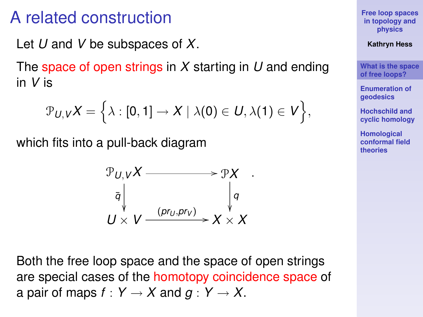#### A related construction

Let *U* and *V* be subspaces of *X*.

The space of open strings in *X* starting in *U* and ending in *V* is

$$
\mathcal{P}_{U,V}X = \left\{\lambda : [0,1] \to X \mid \lambda(0) \in U, \lambda(1) \in V \right\},\
$$

which fits into a pull-back diagram

$$
\mathcal{P}_{U,V}X \longrightarrow \mathcal{P}X
$$
\n
$$
\bar{q} \downarrow \qquad \qquad \downarrow q
$$
\n
$$
U \times V \xrightarrow{(pr_U, pr_V)} X \times X
$$

.

Both the free loop space and the space of open strings are special cases of the homotopy coincidence space of a pair of maps  $f: Y \to X$  and  $g: Y \to X$ .

**[Free loop spaces](#page-0-0) in topology and physics**

**Kathryn Hess**

**[What is the space](#page-3-0) of free loops?**

**[Enumeration of](#page-8-0) geodesics**

**Hochschild and [cyclic homology](#page-16-0)**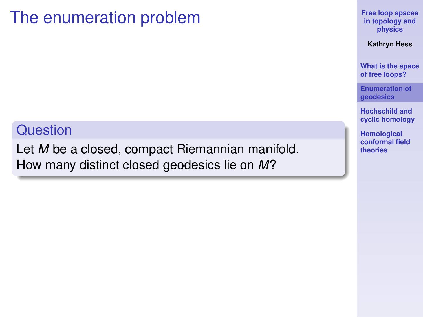#### The enumeration problem

#### **Question**

<span id="page-8-0"></span>Let *M* be a closed, compact Riemannian manifold. How many distinct closed geodesics lie on *M*?

**[Free loop spaces](#page-0-0) in topology and physics**

**Kathryn Hess**

**[What is the space](#page-3-0) of free loops?**

**[Enumeration of](#page-8-0) geodesics**

**Hochschild and [cyclic homology](#page-16-0)**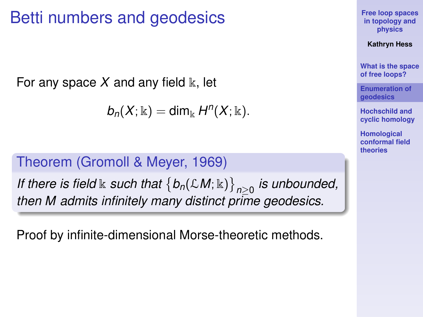#### Betti numbers and geodesics

For any space  $X$  and any field  $\mathbb{k}$ , let

 $b_n(X; \Bbbk) = \dim_{\Bbbk} H^n(X; \Bbbk).$ 

#### Theorem (Gromoll & Meyer, 1969)

If there is field  $\Bbbk$  such that  $\big\{b_n(\mathcal{L}M;\Bbbk)\big\}_{n\geq 0}$  is unbounded, *then M admits infinitely many distinct prime geodesics.*

Proof by infinite-dimensional Morse-theoretic methods.

**[Free loop spaces](#page-0-0) in topology and physics**

**Kathryn Hess**

**[What is the space](#page-3-0) of free loops?**

**[Enumeration of](#page-8-0) geodesics**

**Hochschild and [cyclic homology](#page-16-0)**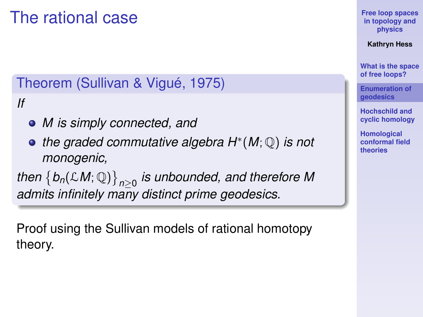### The rational case

#### Theorem (Sullivan & Vigué, 1975)

*If*

- *M is simply connected, and*
- *the graded commutative algebra H*<sup>∗</sup> (*M*; Q) *is not monogenic,*

 $\mathcal{L}$  *then*  $\{b_n(\mathcal{L}M;\mathbb{Q})\}_{n\geq 0}$  is unbounded, and therefore M *admits infinitely many distinct prime geodesics.*

Proof using the Sullivan models of rational homotopy theory.

**[Free loop spaces](#page-0-0) in topology and physics**

**Kathryn Hess**

**[What is the space](#page-3-0) of free loops?**

**[Enumeration of](#page-8-0) geodesics**

**Hochschild and [cyclic homology](#page-16-0)**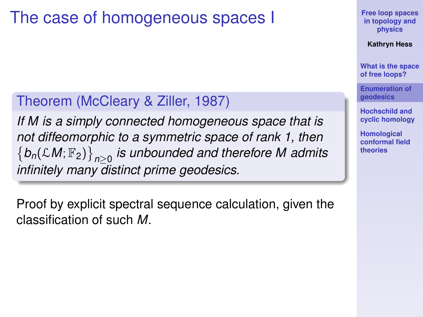#### The case of homogeneous spaces I

#### Theorem (McCleary & Ziller, 1987)

*If M is a simply connected homogeneous space that is not diffeomorphic to a symmetric space of rank 1, then*  $\{b_n(\mathcal{L}M;\mathbb{F}_2)\}_{n\geq 0}$  is unbounded and therefore M admits *infinitely many distinct prime geodesics.*

Proof by explicit spectral sequence calculation, given the classification of such *M*.

**[Free loop spaces](#page-0-0) in topology and physics**

**Kathryn Hess**

**[What is the space](#page-3-0) of free loops?**

**[Enumeration of](#page-8-0) geodesics**

**Hochschild and [cyclic homology](#page-16-0)**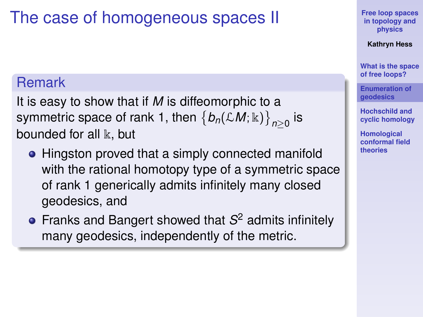## The case of homogeneous spaces II

#### Remark

It is easy to show that if *M* is diffeomorphic to a symmetric space of rank 1, then  $\left\{b_n(\mathcal{L}M;\Bbbk)\right\}_{n\geq 0}$  is bounded for all  $\mathbb k$ , but

- Hingston proved that a simply connected manifold with the rational homotopy type of a symmetric space of rank 1 generically admits infinitely many closed geodesics, and
- Franks and Bangert showed that *S* <sup>2</sup> admits infinitely many geodesics, independently of the metric.

**[Free loop spaces](#page-0-0) in topology and physics**

**Kathryn Hess**

**[What is the space](#page-3-0) of free loops?**

**[Enumeration of](#page-8-0) geodesics**

**Hochschild and [cyclic homology](#page-16-0)**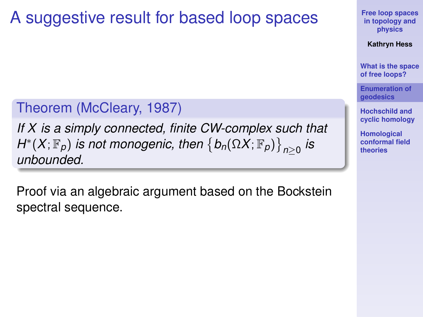### A suggestive result for based loop spaces

#### Theorem (McCleary, 1987)

*If X is a simply connected, finite CW-complex such that*  $H^*(X; \mathbb{F}_p)$  *is not monogenic, then*  $\big\{b_n(\Omega X; \mathbb{F}_p)\big\}_{n\geq 0}$  *is unbounded.*

Proof via an algebraic argument based on the Bockstein spectral sequence.

**[Free loop spaces](#page-0-0) in topology and physics**

**Kathryn Hess**

**[What is the space](#page-3-0) of free loops?**

**[Enumeration of](#page-8-0) geodesics**

**Hochschild and [cyclic homology](#page-16-0)**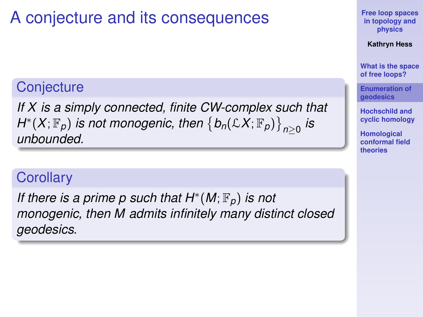# A conjecture and its consequences

#### **Conjecture**

*If X is a simply connected, finite CW-complex such that*  $H^*(X; \mathbb{F}_p)$  *is not monogenic, then*  $\big\{b_n(\mathcal{L} X; \mathbb{F}_p)\big\}_{n\geq 0}$  *is unbounded.*

#### **Corollary**

*If there is a prime p such that H*<sup>∗</sup>(*M*;  $\mathbb{F}_p$ ) *is not monogenic, then M admits infinitely many distinct closed geodesics.*

**[Free loop spaces](#page-0-0) in topology and physics**

**Kathryn Hess**

**[What is the space](#page-3-0) of free loops?**

**[Enumeration of](#page-8-0) geodesics**

**Hochschild and [cyclic homology](#page-16-0)**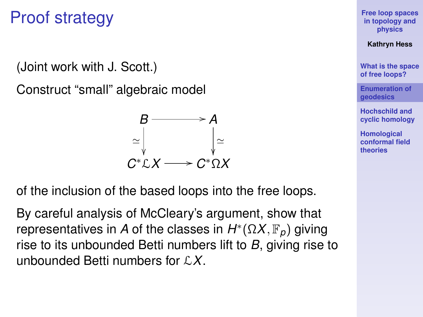### Proof strategy

(Joint work with J. Scott.)

Construct "small" algebraic model



of the inclusion of the based loops into the free loops.

By careful analysis of McCleary's argument, show that representatives in *A* of the classes in *H* ∗ (Ω*X*, F*p*) giving rise to its unbounded Betti numbers lift to *B*, giving rise to unbounded Betti numbers for L*X*.

**[Free loop spaces](#page-0-0) in topology and physics**

**Kathryn Hess**

**[What is the space](#page-3-0) of free loops?**

**[Enumeration of](#page-8-0) geodesics**

**Hochschild and [cyclic homology](#page-16-0)**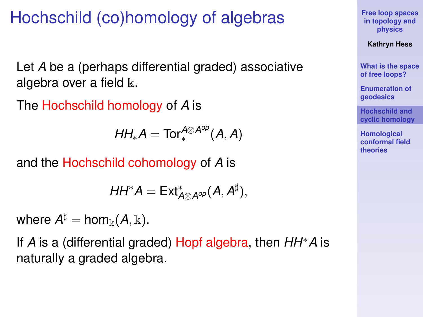# Hochschild (co)homology of algebras

Let *A* be a (perhaps differential graded) associative algebra over a field  $\mathbb{k}$ .

The Hochschild homology of *A* is

$$
HH_*A = Tor^{A\otimes A^{op}}_*(A, A)
$$

and the Hochschild cohomology of *A* is

$$
HH^*A=Ext^*_{A\otimes A^{op}}(A,A^{\sharp}),
$$

where  $A^{\sharp} = \text{hom}_{\Bbbk}(A,\Bbbk).$ 

<span id="page-16-0"></span>If *A* is a (differential graded) Hopf algebra, then *HH*∗*A* is naturally a graded algebra.

**[Free loop spaces](#page-0-0) in topology and physics**

**Kathryn Hess**

**[What is the space](#page-3-0) of free loops?**

**[Enumeration of](#page-8-0) geodesics**

**Hochschild and [cyclic homology](#page-16-0)**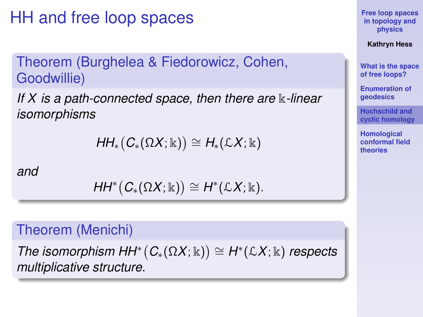HH and free loop spaces

Theorem (Burghelea & Fiedorowicz, Cohen, Goodwillie)

*If X is a path-connected space, then there are* k*-linear isomorphisms*

$$
HH_*\big(C_*(\Omega X;\Bbbk)\big)\cong H_*({\mathcal{L}} X;\Bbbk)
$$

*and*

$$
HH^*(C_*(\Omega X;\mathbb{K})) \cong H^*(\mathcal{L}X;\mathbb{K}).
$$

#### Theorem (Menichi)

*The isomorphism HH*<sup>\*</sup> $(C_*(\Omega X; \Bbbk)) \cong H^*(\mathcal{L}X; \Bbbk)$  *respects multiplicative structure.*

**[Free loop spaces](#page-0-0) in topology and physics**

**Kathryn Hess**

**[What is the space](#page-3-0) of free loops?**

**[Enumeration of](#page-8-0) geodesics**

**Hochschild and [cyclic homology](#page-16-0)**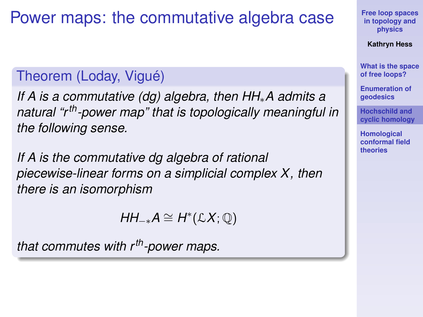#### Power maps: the commutative algebra case

#### Theorem (Loday, Vigué)

*If A is a commutative (dg) algebra, then HH*∗*A admits a natural "rth-power map" that is topologically meaningful in the following sense.*

*If A is the commutative dg algebra of rational piecewise-linear forms on a simplicial complex X, then there is an isomorphism*

 $HH_{-*}A \cong H^*(\mathcal{L}X;\mathbb{Q})$ 

*that commutes with rth-power maps.*

**[Free loop spaces](#page-0-0) in topology and physics**

**Kathryn Hess**

**[What is the space](#page-3-0) of free loops?**

**[Enumeration of](#page-8-0) geodesics**

**Hochschild and [cyclic homology](#page-16-0)**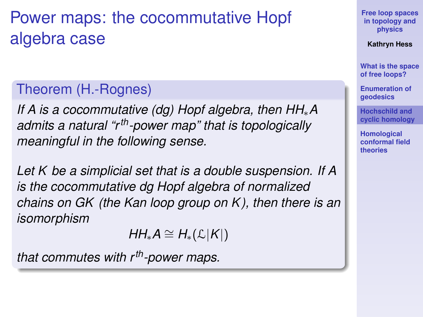# Power maps: the cocommutative Hopf algebra case

#### Theorem (H.-Rognes)

*If A is a cocommutative (dg) Hopf algebra, then HH*∗*A admits a natural "rth-power map" that is topologically meaningful in the following sense.*

*Let K be a simplicial set that is a double suspension. If A is the cocommutative dg Hopf algebra of normalized chains on GK (the Kan loop group on K ), then there is an isomorphism*

$$
HH_*A \cong H_*(\mathcal{L}|K|)
$$

*that commutes with rth-power maps.*

**[Free loop spaces](#page-0-0) in topology and physics**

**Kathryn Hess**

**[What is the space](#page-3-0) of free loops?**

**[Enumeration of](#page-8-0) geodesics**

**Hochschild and [cyclic homology](#page-16-0)**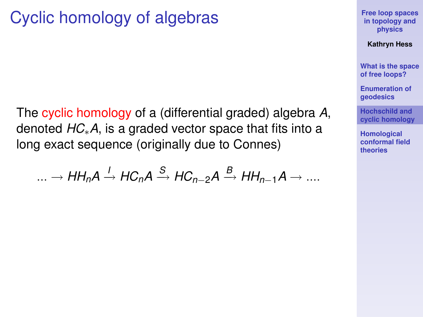### Cyclic homology of algebras

The cyclic homology of a (differential graded) algebra *A*, denoted *HC*∗*A*, is a graded vector space that fits into a long exact sequence (originally due to Connes)

$$
\ldots \to HH_nA \xrightarrow{l} HC_nA \xrightarrow{S} HC_{n-2}A \xrightarrow{B} HH_{n-1}A \to \ldots
$$

**[Free loop spaces](#page-0-0) in topology and physics**

**Kathryn Hess**

**[What is the space](#page-3-0) of free loops?**

**[Enumeration of](#page-8-0) geodesics**

**Hochschild and [cyclic homology](#page-16-0)**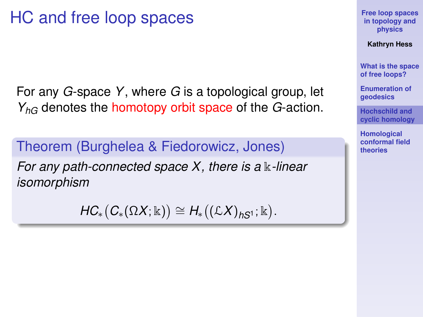### HC and free loop spaces

For any *G*-space *Y*, where *G* is a topological group, let *YhG* denotes the homotopy orbit space of the *G*-action.

Theorem (Burghelea & Fiedorowicz, Jones) *For any path-connected space X, there is a* k-linear *isomorphism*

 $HC_*\big(C_*(\Omega X;\mathbb{K})\big) \cong H_*\big((\mathcal{L}X)_{hS^1};\mathbb{K}\big).$ 

**[Free loop spaces](#page-0-0) in topology and physics**

**Kathryn Hess**

**[What is the space](#page-3-0) of free loops?**

**[Enumeration of](#page-8-0) geodesics**

**Hochschild and [cyclic homology](#page-16-0)**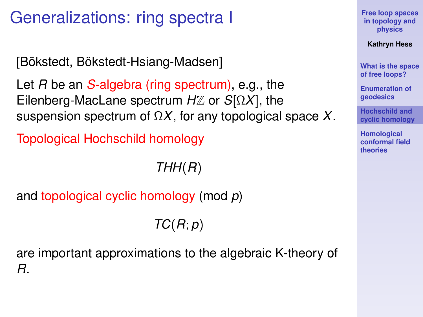## Generalizations: ring spectra I

[Bökstedt, Bökstedt-Hsiang-Madsen]

Let *R* be an *S*-algebra (ring spectrum), e.g., the Eilenberg-MacLane spectrum *H*Z or *S*[Ω*X*], the suspension spectrum of Ω*X*, for any topological space *X*.

Topological Hochschild homology

*THH*(*R*)

and topological cyclic homology (mod *p*)

*TC*(*R*; *p*)

are important approximations to the algebraic K-theory of *R*.

**[Free loop spaces](#page-0-0) in topology and physics**

**Kathryn Hess**

**[What is the space](#page-3-0) of free loops?**

**[Enumeration of](#page-8-0) geodesics**

**Hochschild and [cyclic homology](#page-16-0)**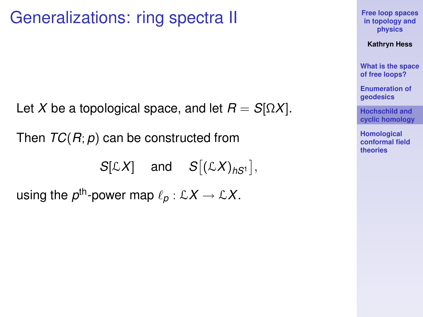#### Generalizations: ring spectra II

Let *X* be a topological space, and let  $R = S[\Omega X]$ .

Then *TC*(*R*; *p*) can be constructed from

 $S[\mathcal{L}X]$  and  $S[(\mathcal{L}X)_{hS^1}],$ 

using the  $\rho^{\text{th}}$ -power map  $\ell_\rho:\mathcal{L} X\to \mathcal{L} X.$ 

**[Free loop spaces](#page-0-0) in topology and physics**

**Kathryn Hess**

**[What is the space](#page-3-0) of free loops?**

**[Enumeration of](#page-8-0) geodesics**

**Hochschild and [cyclic homology](#page-16-0)**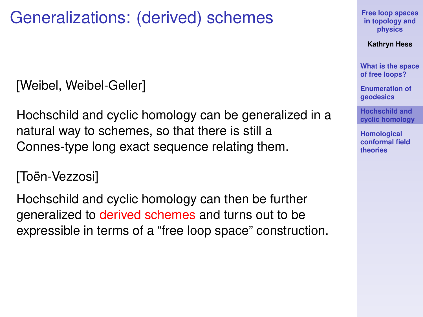### Generalizations: (derived) schemes

[Weibel, Weibel-Geller]

Hochschild and cyclic homology can be generalized in a natural way to schemes, so that there is still a Connes-type long exact sequence relating them.

[Toën-Vezzosi]

Hochschild and cyclic homology can then be further generalized to derived schemes and turns out to be expressible in terms of a "free loop space" construction. **[Free loop spaces](#page-0-0) in topology and physics**

**Kathryn Hess**

**[What is the space](#page-3-0) of free loops?**

**[Enumeration of](#page-8-0) geodesics**

**Hochschild and [cyclic homology](#page-16-0)**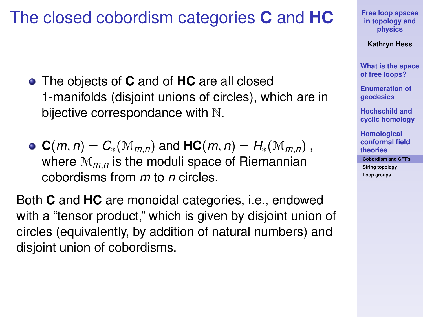#### The closed cobordism categories **C** and **HC**

- The objects of **C** and of **HC** are all closed 1-manifolds (disjoint unions of circles), which are in bijective correspondance with N.
- $C(m, n) = C_*(M_{m,n})$  and  $HC(m, n) = H_*(M_{m,n})$ , where M*m*,*<sup>n</sup>* is the moduli space of Riemannian cobordisms from *m* to *n* circles.

<span id="page-25-0"></span>Both **C** and **HC** are monoidal categories, i.e., endowed with a "tensor product," which is given by disjoint union of circles (equivalently, by addition of natural numbers) and disjoint union of cobordisms.

**[Free loop spaces](#page-0-0) in topology and physics**

**Kathryn Hess**

**[What is the space](#page-3-0) of free loops?**

**[Enumeration of](#page-8-0) geodesics**

**Hochschild and [cyclic homology](#page-16-0)**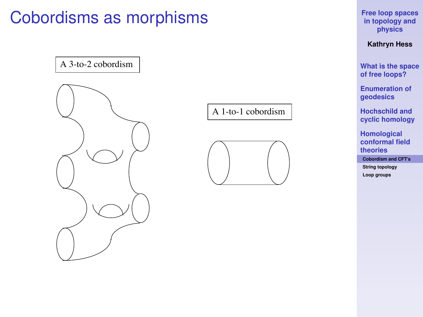### Cobordisms as morphisms

A 3-to-2 cobordism

A 1-to-1 cobordism



**[Free loop spaces](#page-0-0) in topology and physics**

**Kathryn Hess**

**[What is the space](#page-3-0) of free loops?**

**[Enumeration of](#page-8-0) geodesics**

**Hochschild and [cyclic homology](#page-16-0)**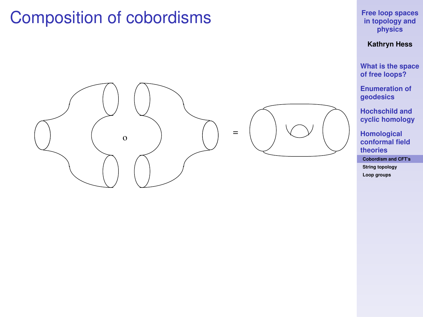#### Composition of cobordisms





#### **[Free loop spaces](#page-0-0) in topology and physics**

**Kathryn Hess**

**[What is the space](#page-3-0) of free loops?**

**[Enumeration of](#page-8-0) geodesics**

**Hochschild and [cyclic homology](#page-16-0)**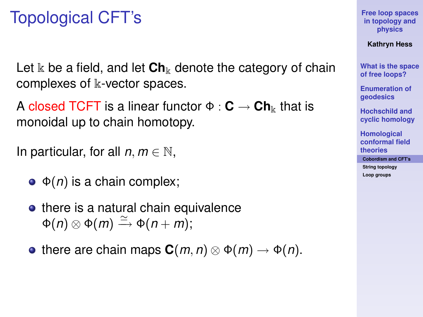### Topological CFT's

Let  $\&$  be a field, and let  $\mathbf{Ch}_{\&}$  denote the category of chain complexes of k-vector spaces.

A closed TCFT is a linear functor  $\Phi : \mathbf{C} \to \mathbf{Ch}_{\mathbb{k}}$  that is monoidal up to chain homotopy.

In particular, for all  $n, m \in \mathbb{N}$ ,

- $\bullet$   $\Phi(n)$  is a chain complex;
- $\bullet$  there is a natural chain equivalence  $\Phi(n) \otimes \Phi(m) \xrightarrow{\simeq} \Phi(n+m);$
- there are chain maps  $C(m, n) \otimes \Phi(m) \rightarrow \Phi(n)$ .

**[Free loop spaces](#page-0-0) in topology and physics**

**Kathryn Hess**

**[What is the space](#page-3-0) of free loops?**

**[Enumeration of](#page-8-0) geodesics**

**Hochschild and [cyclic homology](#page-16-0)**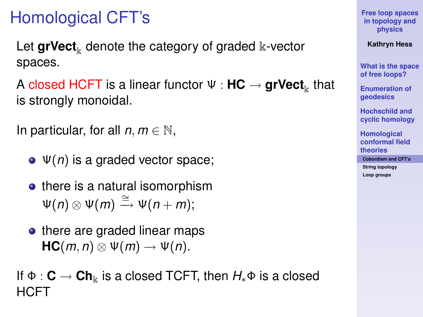# Homological CFT's

Let  $\mathbf{grVect}_{k}$  denote the category of graded  $k$ -vector spaces.

**A** closed HCFT is a linear functor Ψ : **HC**  $\rightarrow$  <code>grVect</code><sub>k</sub> that is strongly monoidal.

```
In particular, for all n, m \in \mathbb{N},
```
- Ψ(*n*) is a graded vector space;
- there is a natural isomorphism  $\Psi(n) \otimes \Psi(m) \stackrel{\cong}{\longrightarrow} \Psi(n+m);$
- there are graded linear maps  $HC(m, n) \otimes \Psi(m) \rightarrow \Psi(n)$ .

If Φ : **C** → **Ch**<sup>k</sup> is a closed TCFT, then *H*∗Φ is a closed HCFT

**[Free loop spaces](#page-0-0) in topology and physics**

**Kathryn Hess**

**[What is the space](#page-3-0) of free loops?**

**[Enumeration of](#page-8-0) geodesics**

**Hochschild and [cyclic homology](#page-16-0)**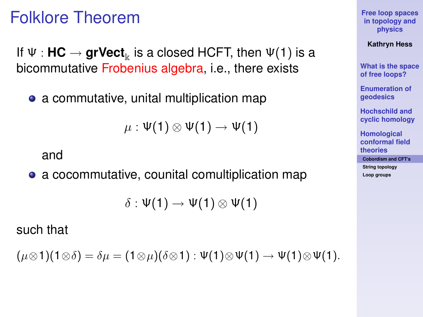#### Folklore Theorem

If Ψ : **HC**  $\rightarrow$  **grVect**<sub>k</sub> is a closed HCFT, then Ψ(1) is a bicommutative Frobenius algebra, i.e., there exists

• a commutative, unital multiplication map

 $\mu : \Psi(1) \otimes \Psi(1) \rightarrow \Psi(1)$ 

#### and

a cocommutative, counital comultiplication map

 $\delta : \Psi(1) \rightarrow \Psi(1) \otimes \Psi(1)$ 

such that

$$
(\mu \otimes 1)(1 \otimes \delta) = \delta \mu = (1 \otimes \mu)(\delta \otimes 1) : \Psi(1) \otimes \Psi(1) \to \Psi(1) \otimes \Psi(1).
$$

**[Free loop spaces](#page-0-0) in topology and physics**

**Kathryn Hess**

**[What is the space](#page-3-0) of free loops?**

**[Enumeration of](#page-8-0) geodesics**

**Hochschild and [cyclic homology](#page-16-0)**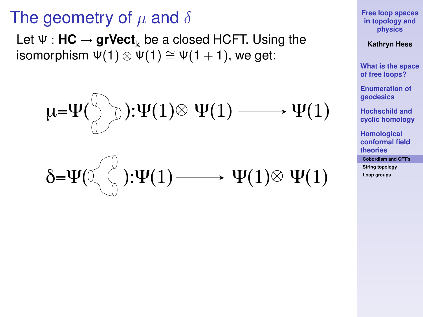#### The geometry of  $\mu$  and  $\delta$

Let Ψ : **HC** → grVect<sub>k</sub> be a closed HCFT. Using the isomorphism  $\Psi(1) \otimes \Psi(1) \cong \Psi(1 + 1)$ , we get:

$$
\mu = \Psi(\bigcirc \limits_{\bigcirc} \bigcirc) : \Psi(1) \otimes \Psi(1) \longrightarrow \Psi(1)
$$

$$
\delta = \Psi(\text{tr}(1) \longrightarrow \Psi(1) \otimes \Psi(1))
$$

**[Free loop spaces](#page-0-0) in topology and physics**

**Kathryn Hess**

**[What is the space](#page-3-0) of free loops?**

**[Enumeration of](#page-8-0) geodesics**

**Hochschild and [cyclic homology](#page-16-0)**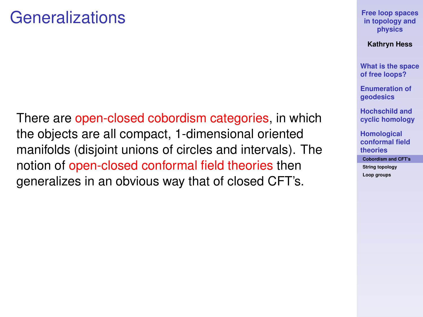#### Generalizations

There are open-closed cobordism categories, in which the objects are all compact, 1-dimensional oriented manifolds (disjoint unions of circles and intervals). The notion of open-closed conformal field theories then generalizes in an obvious way that of closed CFT's.

**[Free loop spaces](#page-0-0) in topology and physics**

**Kathryn Hess**

**[What is the space](#page-3-0) of free loops?**

**[Enumeration of](#page-8-0) geodesics**

**Hochschild and [cyclic homology](#page-16-0)**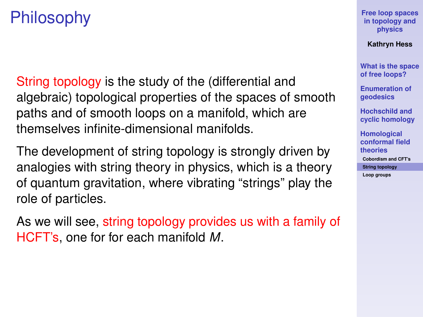# Philosophy

String topology is the study of the (differential and algebraic) topological properties of the spaces of smooth paths and of smooth loops on a manifold, which are themselves infinite-dimensional manifolds.

The development of string topology is strongly driven by analogies with string theory in physics, which is a theory of quantum gravitation, where vibrating "strings" play the role of particles.

<span id="page-33-0"></span>As we will see, string topology provides us with a family of HCFT's, one for for each manifold *M*.

**[Free loop spaces](#page-0-0) in topology and physics**

**Kathryn Hess**

**[What is the space](#page-3-0) of free loops?**

**[Enumeration of](#page-8-0) geodesics**

**Hochschild and [cyclic homology](#page-16-0)**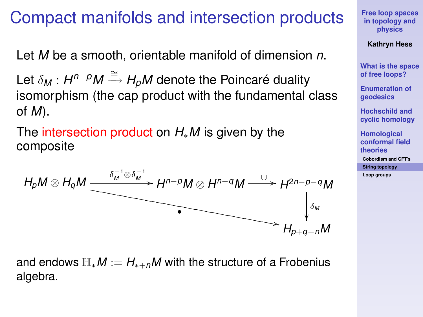#### Compact manifolds and intersection products

Let *M* be a smooth, orientable manifold of dimension *n*.

Let δ*<sup>M</sup>* : *H <sup>n</sup>*−*pM* <sup>∼</sup>=−→ *<sup>H</sup>p<sup>M</sup>* denote the Poincaré duality isomorphism (the cap product with the fundamental class of *M*).

The intersection product on *H*∗*M* is given by the composite



and endows  $\mathbb{H}_*M := H_{*+n}M$  with the structure of a Frobenius algebra.

**[Free loop spaces](#page-0-0) in topology and physics**

**Kathryn Hess**

**[What is the space](#page-3-0) of free loops?**

**[Enumeration of](#page-8-0) geodesics**

**Hochschild and [cyclic homology](#page-16-0)**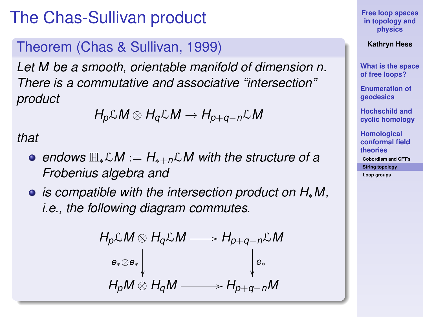### The Chas-Sullivan product

#### Theorem (Chas & Sullivan, 1999)

*Let M be a smooth, orientable manifold of dimension n. There is a commutative and associative "intersection" product*

$$
H_p\mathcal{L}M\otimes H_q\mathcal{L}M\to H_{p+q-n}\mathcal{L}M
$$

*that*

- *endows* H∗L*M* := *H*∗+*n*L*M with the structure of a Frobenius algebra and*
- *is compatible with the intersection product on H*∗*M, i.e., the following diagram commutes.*

$$
H_p \mathcal{L} M \otimes H_q \mathcal{L} M \longrightarrow H_{p+q-n} \mathcal{L} M
$$
  
\n
$$
e_* \otimes e_* \downarrow \qquad \qquad \downarrow e_*
$$
  
\n
$$
H_p M \otimes H_q M \longrightarrow H_{p+q-n} M
$$

**[Free loop spaces](#page-0-0) in topology and physics**

**Kathryn Hess**

**[What is the space](#page-3-0) of free loops?**

**[Enumeration of](#page-8-0) geodesics**

**Hochschild and [cyclic homology](#page-16-0)**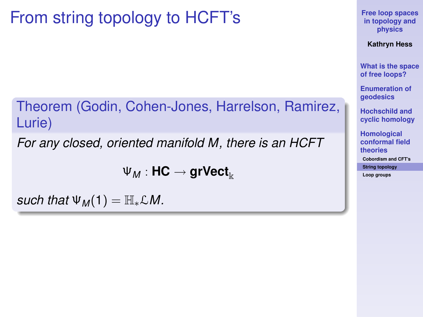# From string topology to HCFT's

Theorem (Godin, Cohen-Jones, Harrelson, Ramirez, Lurie)

*For any closed, oriented manifold M, there is an HCFT*

 $\Psi_M$ : **HC**  $\rightarrow$  **grVect**<sub>k</sub>

*such that*  $\Psi_M(1) = \mathbb{H}_* \mathcal{L} M$ .

**[Free loop spaces](#page-0-0) in topology and physics**

**Kathryn Hess**

**[What is the space](#page-3-0) of free loops?**

**[Enumeration of](#page-8-0) geodesics**

**Hochschild and [cyclic homology](#page-16-0)**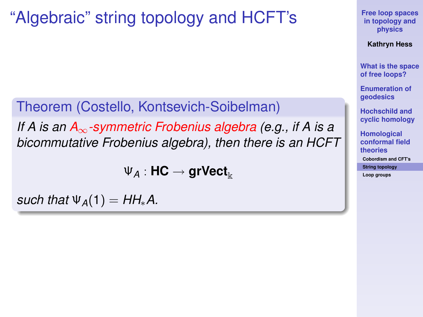### "Algebraic" string topology and HCFT's

Theorem (Costello, Kontsevich-Soibelman) *If A is an A*∞*-symmetric Frobenius algebra (e.g., if A is a bicommutative Frobenius algebra), then there is an HCFT*

 $\Psi_A: \mathsf{HC} \to \mathsf{grVect}_\Bbbk$ 

*such that*  $\Psi_A(1) = HH^*A$ .

**[Free loop spaces](#page-0-0) in topology and physics**

**Kathryn Hess**

**[What is the space](#page-3-0) of free loops?**

**[Enumeration of](#page-8-0) geodesics**

**Hochschild and [cyclic homology](#page-16-0)**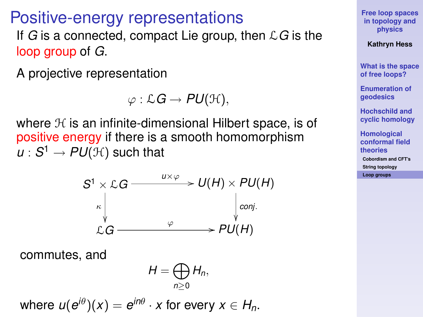#### Positive-energy representations

If *G* is a connected, compact Lie group, then L*G* is the loop group of *G*.

A projective representation

$$
\varphi:\mathcal{L}G\to PU(\mathcal{H}),
$$

where  $H$  is an infinite-dimensional Hilbert space, is of positive energy if there is a smooth homomorphism  $u: \mathcal{S}^1 \rightarrow \mathsf{PU}(\mathcal{H})$  such that



commutes, and

$$
H=\bigoplus_{n\geq 0}H_n,
$$

<span id="page-38-0"></span>where  $u(e^{i\theta})(x) = e^{in\theta} \cdot x$  for every  $x \in H_n$ .

**[Free loop spaces](#page-0-0) in topology and physics**

#### **Kathryn Hess**

**[What is the space](#page-3-0) of free loops?**

**[Enumeration of](#page-8-0) geodesics**

**Hochschild and [cyclic homology](#page-16-0)**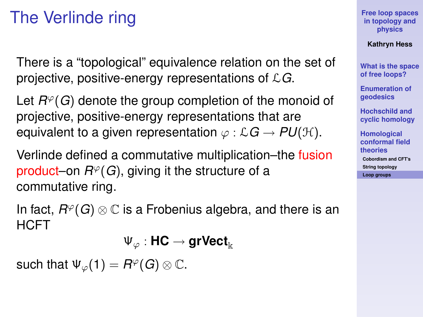## The Verlinde ring

There is a "topological" equivalence relation on the set of projective, positive-energy representations of L*G*.

Let  $R^{\varphi}(G)$  denote the group completion of the monoid of projective, positive-energy representations that are equivalent to a given representation  $\varphi : \mathcal{L}G \rightarrow PU(\mathcal{H})$ .

Verlinde defined a commutative multiplication–the fusion product–on  $R^{\varphi}(G)$ , giving it the structure of a commutative ring.

In fact,  $R^{\varphi}(G) \otimes \mathbb{C}$  is a Frobenius algebra, and there is an **HCFT** 

Ψ<sup>ϕ</sup> : **HC** → **grVect**<sup>k</sup>

such that  $\Psi_{\varphi}(1) = R^{\varphi}(G) \otimes \mathbb{C}$ .

**[Free loop spaces](#page-0-0) in topology and physics**

**Kathryn Hess**

**[What is the space](#page-3-0) of free loops?**

**[Enumeration of](#page-8-0) geodesics**

**Hochschild and [cyclic homology](#page-16-0)**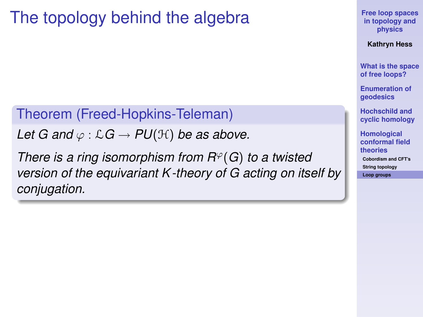### The topology behind the algebra

Theorem (Freed-Hopkins-Teleman)

*Let G and*  $\varphi$  :  $\mathcal{L}G \rightarrow PU(\mathcal{H})$  *be as above.* 

*There is a ring isomorphism from*  $R<sup>\varphi</sup>(G)$  *to a twisted version of the equivariant K -theory of G acting on itself by conjugation.*

**[Free loop spaces](#page-0-0) in topology and physics**

**Kathryn Hess**

**[What is the space](#page-3-0) of free loops?**

**[Enumeration of](#page-8-0) geodesics**

**Hochschild and [cyclic homology](#page-16-0)**